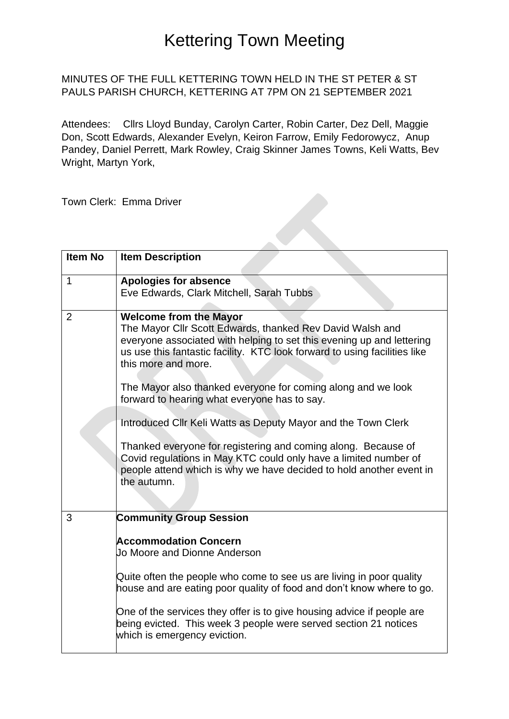### MINUTES OF THE FULL KETTERING TOWN HELD IN THE ST PETER & ST PAULS PARISH CHURCH, KETTERING AT 7PM ON 21 SEPTEMBER 2021

Attendees: Cllrs Lloyd Bunday, Carolyn Carter, Robin Carter, Dez Dell, Maggie Don, Scott Edwards, Alexander Evelyn, Keiron Farrow, Emily Fedorowycz, Anup Pandey, Daniel Perrett, Mark Rowley, Craig Skinner James Towns, Keli Watts, Bev Wright, Martyn York,

K

Town Clerk: Emma Driver

| <b>Item No</b> | <b>Item Description</b>                                                                                                                                                                                                                                                                                                                                                                                                                                                                                                                                                                                                                                                             |
|----------------|-------------------------------------------------------------------------------------------------------------------------------------------------------------------------------------------------------------------------------------------------------------------------------------------------------------------------------------------------------------------------------------------------------------------------------------------------------------------------------------------------------------------------------------------------------------------------------------------------------------------------------------------------------------------------------------|
| 1              | <b>Apologies for absence</b><br>Eve Edwards, Clark Mitchell, Sarah Tubbs                                                                                                                                                                                                                                                                                                                                                                                                                                                                                                                                                                                                            |
| $\overline{2}$ | <b>Welcome from the Mayor</b><br>The Mayor Cllr Scott Edwards, thanked Rev David Walsh and<br>everyone associated with helping to set this evening up and lettering<br>us use this fantastic facility. KTC look forward to using facilities like<br>this more and more.<br>The Mayor also thanked everyone for coming along and we look<br>forward to hearing what everyone has to say.<br>Introduced Cllr Keli Watts as Deputy Mayor and the Town Clerk<br>Thanked everyone for registering and coming along. Because of<br>Covid regulations in May KTC could only have a limited number of<br>people attend which is why we have decided to hold another event in<br>the autumn. |
| 3              | <b>Community Group Session</b><br><b>Accommodation Concern</b><br>Jo Moore and Dionne Anderson<br>Quite often the people who come to see us are living in poor quality<br>house and are eating poor quality of food and don't know where to go.<br>One of the services they offer is to give housing advice if people are<br>being evicted. This week 3 people were served section 21 notices<br>which is emergency eviction.                                                                                                                                                                                                                                                       |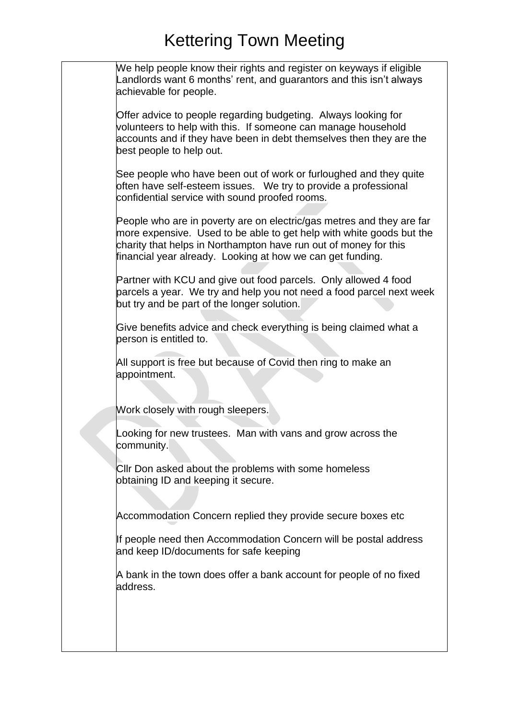| We help people know their rights and register on keyways if eligible<br>Landlords want 6 months' rent, and guarantors and this isn't always<br>achievable for people.                                                                                                           |
|---------------------------------------------------------------------------------------------------------------------------------------------------------------------------------------------------------------------------------------------------------------------------------|
| Offer advice to people regarding budgeting. Always looking for<br>volunteers to help with this. If someone can manage household<br>accounts and if they have been in debt themselves then they are the<br>best people to help out.                                              |
| See people who have been out of work or furloughed and they quite<br>often have self-esteem issues. We try to provide a professional<br>confidential service with sound proofed rooms.                                                                                          |
| People who are in poverty are on electric/gas metres and they are far<br>more expensive. Used to be able to get help with white goods but the<br>charity that helps in Northampton have run out of money for this<br>financial year already. Looking at how we can get funding. |
| Partner with KCU and give out food parcels. Only allowed 4 food<br>parcels a year. We try and help you not need a food parcel next week<br>but try and be part of the longer solution.                                                                                          |
| Give benefits advice and check everything is being claimed what a<br>person is entitled to.                                                                                                                                                                                     |
| All support is free but because of Covid then ring to make an<br>appointment.                                                                                                                                                                                                   |
| Work closely with rough sleepers.                                                                                                                                                                                                                                               |
| Looking for new trustees. Man with vans and grow across the<br>community.                                                                                                                                                                                                       |
| CIIr Don asked about the problems with some homeless<br>obtaining ID and keeping it secure.                                                                                                                                                                                     |
| Accommodation Concern replied they provide secure boxes etc                                                                                                                                                                                                                     |
| If people need then Accommodation Concern will be postal address<br>and keep ID/documents for safe keeping                                                                                                                                                                      |
| A bank in the town does offer a bank account for people of no fixed<br>address.                                                                                                                                                                                                 |
|                                                                                                                                                                                                                                                                                 |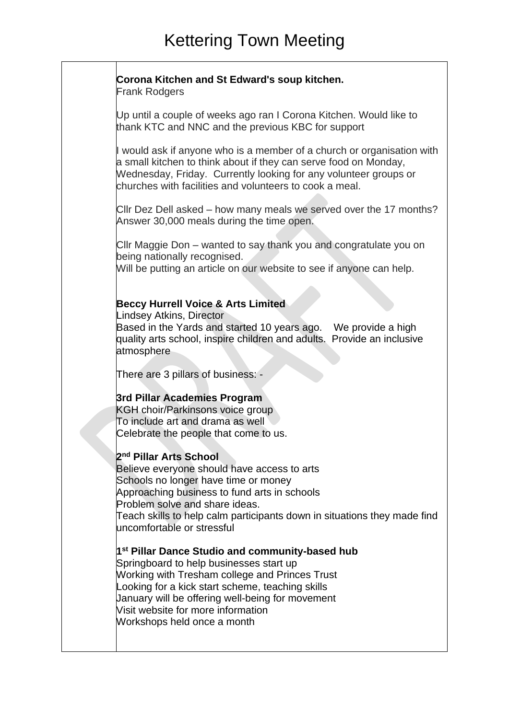### **Corona Kitchen and St Edward's soup kitchen.**

Frank Rodgers

Up until a couple of weeks ago ran I Corona Kitchen. Would like to thank KTC and NNC and the previous KBC for support

I would ask if anyone who is a member of a church or organisation with a small kitchen to think about if they can serve food on Monday, Wednesday, Friday. Currently looking for any volunteer groups or churches with facilities and volunteers to cook a meal.

Cllr Dez Dell asked – how many meals we served over the 17 months? Answer 30,000 meals during the time open.

Cllr Maggie Don – wanted to say thank you and congratulate you on being nationally recognised.

Will be putting an article on our website to see if anyone can help.

### **Beccy Hurrell Voice & Arts Limited**

Lindsey Atkins, Director

Based in the Yards and started 10 years ago. We provide a high quality arts school, inspire children and adults. Provide an inclusive atmosphere

There are 3 pillars of business: -

### **3rd Pillar Academies Program**

KGH choir/Parkinsons voice group To include art and drama as well Celebrate the people that come to us.

### **2 nd Pillar Arts School**

Believe everyone should have access to arts Schools no longer have time or money Approaching business to fund arts in schools Problem solve and share ideas. Teach skills to help calm participants down in situations they made find uncomfortable or stressful

**1 st Pillar Dance Studio and community-based hub**

Springboard to help businesses start up Working with Tresham college and Princes Trust Looking for a kick start scheme, teaching skills January will be offering well-being for movement Visit website for more information Workshops held once a month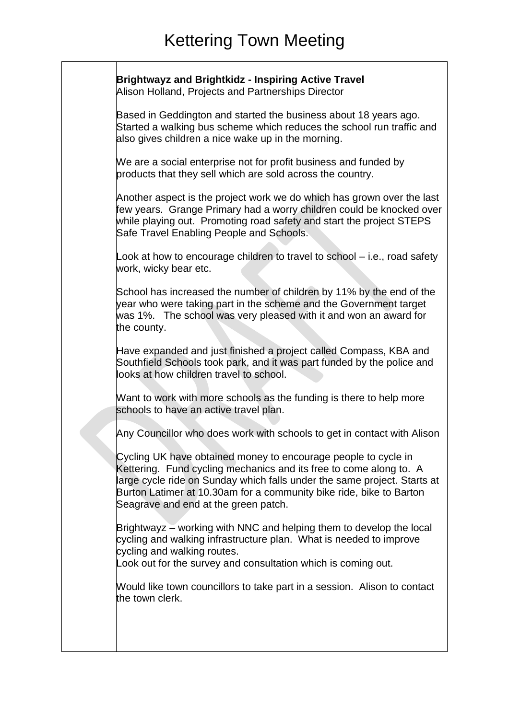**Brightwayz and Brightkidz - Inspiring Active Travel** Alison Holland, Projects and Partnerships Director

Based in Geddington and started the business about 18 years ago. Started a walking bus scheme which reduces the school run traffic and also gives children a nice wake up in the morning.

We are a social enterprise not for profit business and funded by products that they sell which are sold across the country.

Another aspect is the project work we do which has grown over the last few years. Grange Primary had a worry children could be knocked over while playing out. Promoting road safety and start the project STEPS Safe Travel Enabling People and Schools.

Look at how to encourage children to travel to school – i.e., road safety work, wicky bear etc.

School has increased the number of children by 11% by the end of the year who were taking part in the scheme and the Government target was 1%. The school was very pleased with it and won an award for the county.

Have expanded and just finished a project called Compass, KBA and Southfield Schools took park, and it was part funded by the police and looks at how children travel to school.

Want to work with more schools as the funding is there to help more schools to have an active travel plan.

Any Councillor who does work with schools to get in contact with Alison

Cycling UK have obtained money to encourage people to cycle in Kettering. Fund cycling mechanics and its free to come along to. A large cycle ride on Sunday which falls under the same project. Starts at Burton Latimer at 10.30am for a community bike ride, bike to Barton Seagrave and end at the green patch.

Brightwayz – working with NNC and helping them to develop the local cycling and walking infrastructure plan. What is needed to improve cycling and walking routes.

Look out for the survey and consultation which is coming out.

Would like town councillors to take part in a session. Alison to contact the town clerk.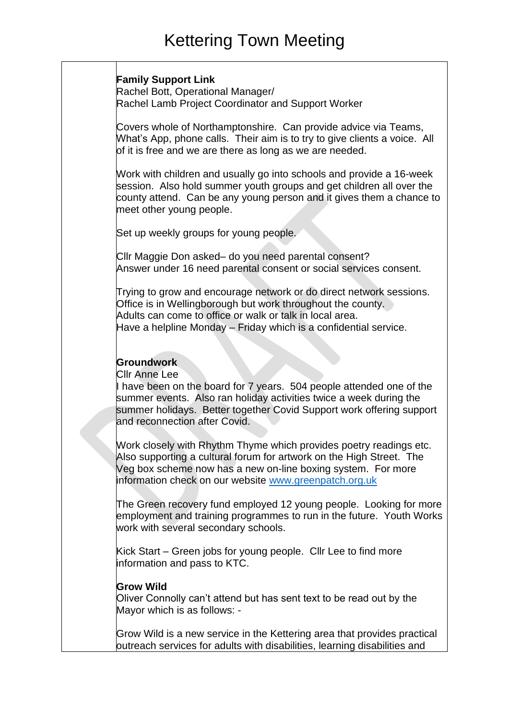### **Family Support Link**

Rachel Bott, Operational Manager/ Rachel Lamb Project Coordinator and Support Worker

Covers whole of Northamptonshire. Can provide advice via Teams, What's App, phone calls. Their aim is to try to give clients a voice. All of it is free and we are there as long as we are needed.

Work with children and usually go into schools and provide a 16-week session. Also hold summer youth groups and get children all over the county attend. Can be any young person and it gives them a chance to meet other young people.

Set up weekly groups for young people.

Cllr Maggie Don asked– do you need parental consent? Answer under 16 need parental consent or social services consent.

Trying to grow and encourage network or do direct network sessions. Office is in Wellingborough but work throughout the county. Adults can come to office or walk or talk in local area. Have a helpline Monday – Friday which is a confidential service.

### **Groundwork**

Cllr Anne Lee

I have been on the board for 7 years. 504 people attended one of the summer events. Also ran holiday activities twice a week during the summer holidays. Better together Covid Support work offering support and reconnection after Covid.

Work closely with Rhythm Thyme which provides poetry readings etc. Also supporting a cultural forum for artwork on the High Street. The Veg box scheme now has a new on-line boxing system. For more information check on our website [www.greenpatch.org.uk](http://www.greenpatch.org.uk/)

The Green recovery fund employed 12 young people. Looking for more employment and training programmes to run in the future. Youth Works work with several secondary schools.

Kick Start – Green jobs for young people. Cllr Lee to find more information and pass to KTC.

### **Grow Wild**

Oliver Connolly can't attend but has sent text to be read out by the Mayor which is as follows: -

Grow Wild is a new service in the Kettering area that provides practical outreach services for adults with disabilities, learning disabilities and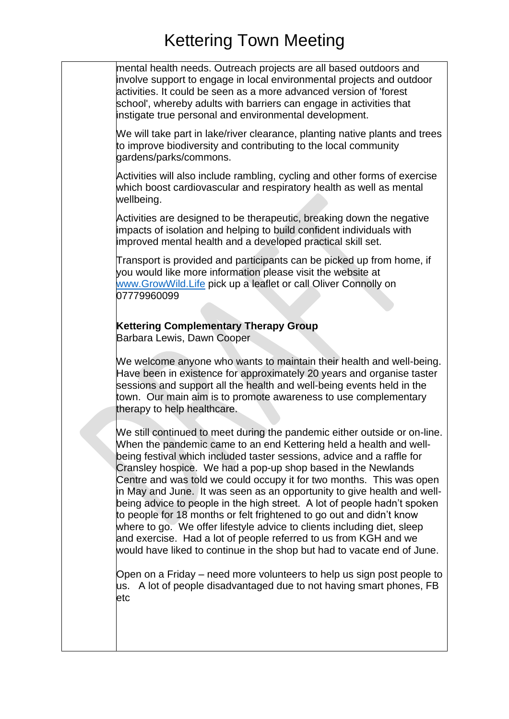mental health needs. Outreach projects are all based outdoors and involve support to engage in local environmental projects and outdoor activities. It could be seen as a more advanced version of 'forest school', whereby adults with barriers can engage in activities that instigate true personal and environmental development.

We will take part in lake/river clearance, planting native plants and trees to improve biodiversity and contributing to the local community gardens/parks/commons.

Activities will also include rambling, cycling and other forms of exercise which boost cardiovascular and respiratory health as well as mental wellbeing.

Activities are designed to be therapeutic, breaking down the negative impacts of isolation and helping to build confident individuals with improved mental health and a developed practical skill set.

Transport is provided and participants can be picked up from home, if you would like more information please visit the website at [www.GrowWild.Life](https://protect-eu.mimecast.com/s/b8yKCnYJ0hQ7pVhNh8Oa?domain=growwild.life) pick up a leaflet or call Oliver Connolly on 07779960099

## **Kettering Complementary Therapy Group**

Barbara Lewis, Dawn Cooper

We welcome anyone who wants to maintain their health and well-being. Have been in existence for approximately 20 years and organise taster sessions and support all the health and well-being events held in the town. Our main aim is to promote awareness to use complementary therapy to help healthcare.

We still continued to meet during the pandemic either outside or on-line. When the pandemic came to an end Kettering held a health and wellbeing festival which included taster sessions, advice and a raffle for Cransley hospice. We had a pop-up shop based in the Newlands Centre and was told we could occupy it for two months. This was open in May and June. It was seen as an opportunity to give health and wellbeing advice to people in the high street. A lot of people hadn't spoken to people for 18 months or felt frightened to go out and didn't know where to go. We offer lifestyle advice to clients including diet, sleep and exercise. Had a lot of people referred to us from KGH and we would have liked to continue in the shop but had to vacate end of June.

Open on a Friday – need more volunteers to help us sign post people to us. A lot of people disadvantaged due to not having smart phones, FB etc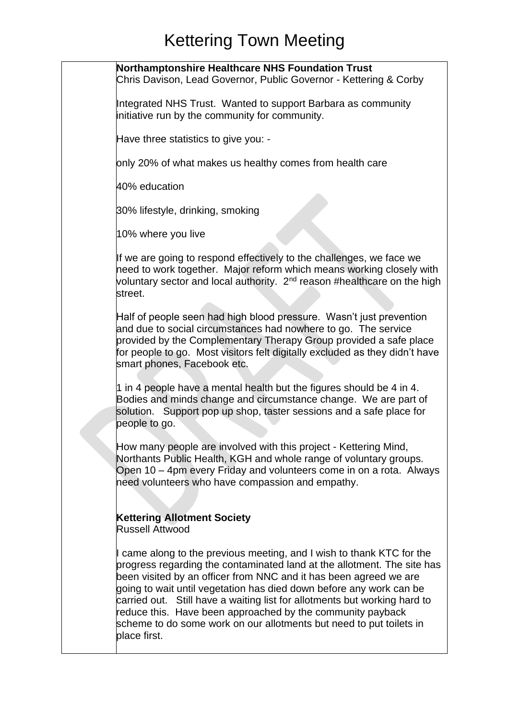**Northamptonshire Healthcare NHS Foundation Trust** Chris Davison, Lead Governor, Public Governor - Kettering & Corby Integrated NHS Trust. Wanted to support Barbara as community initiative run by the community for community. Have three statistics to give you: only 20% of what makes us healthy comes from health care 40% education 30% lifestyle, drinking, smoking 10% where you live If we are going to respond effectively to the challenges, we face we need to work together. Major reform which means working closely with voluntary sector and local authority. 2<sup>nd</sup> reason #healthcare on the high street. Half of people seen had high blood pressure. Wasn't just prevention and due to social circumstances had nowhere to go. The service provided by the Complementary Therapy Group provided a safe place for people to go. Most visitors felt digitally excluded as they didn't have smart phones, Facebook etc. 1 in 4 people have a mental health but the figures should be 4 in 4. Bodies and minds change and circumstance change. We are part of solution. Support pop up shop, taster sessions and a safe place for people to go. How many people are involved with this project - Kettering Mind, Northants Public Health, KGH and whole range of voluntary groups. Open 10 – 4pm every Friday and volunteers come in on a rota. Always need volunteers who have compassion and empathy. **Kettering Allotment Society**  Russell Attwood I came along to the previous meeting, and I wish to thank KTC for the progress regarding the contaminated land at the allotment. The site has been visited by an officer from NNC and it has been agreed we are going to wait until vegetation has died down before any work can be carried out. Still have a waiting list for allotments but working hard to reduce this. Have been approached by the community payback scheme to do some work on our allotments but need to put toilets in place first.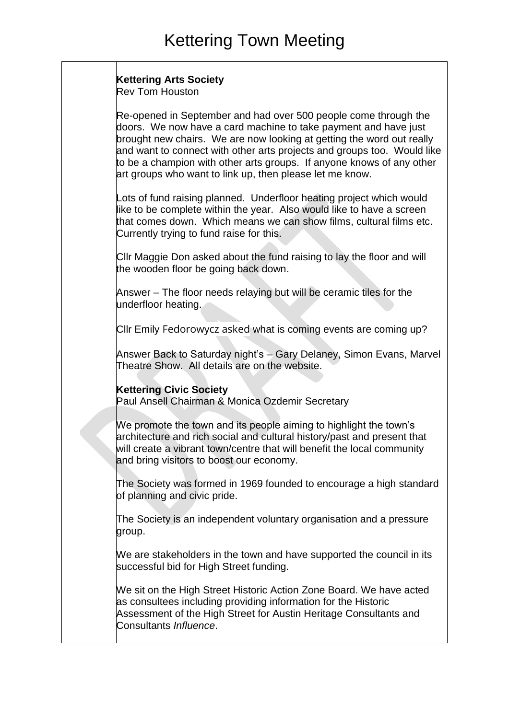### **Kettering Arts Society**

Rev Tom Houston

Re-opened in September and had over 500 people come through the doors. We now have a card machine to take payment and have just brought new chairs. We are now looking at getting the word out really and want to connect with other arts projects and groups too. Would like to be a champion with other arts groups. If anyone knows of any other art groups who want to link up, then please let me know.

Lots of fund raising planned. Underfloor heating project which would like to be complete within the year. Also would like to have a screen that comes down. Which means we can show films, cultural films etc. Currently trying to fund raise for this.

Cllr Maggie Don asked about the fund raising to lay the floor and will the wooden floor be going back down.

Answer – The floor needs relaying but will be ceramic tiles for the underfloor heating.

Cllr Emily Fedorowycz asked what is coming events are coming up?

Answer Back to Saturday night's – Gary Delaney, Simon Evans, Marvel Theatre Show. All details are on the website.

### **Kettering Civic Society**

Paul Ansell Chairman & Monica Ozdemir Secretary

We promote the town and its people aiming to highlight the town's architecture and rich social and cultural history/past and present that will create a vibrant town/centre that will benefit the local community and bring visitors to boost our economy.

The Society was formed in 1969 founded to encourage a high standard of planning and civic pride.

The Society is an independent voluntary organisation and a pressure group.

We are stakeholders in the town and have supported the council in its successful bid for High Street funding.

We sit on the High Street Historic Action Zone Board. We have acted as consultees including providing information for the Historic Assessment of the High Street for Austin Heritage Consultants and Consultants *Influence*.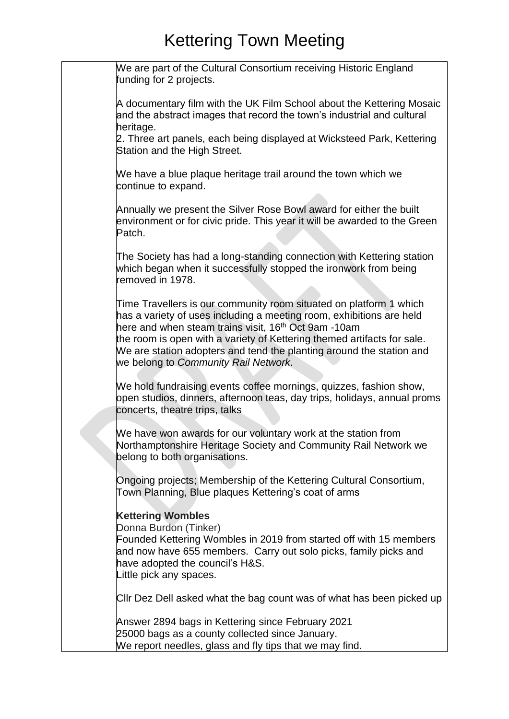| We are part of the Cultural Consortium receiving Historic England<br>funding for 2 projects.                                                                                                                                                                                                                                                                                                              |
|-----------------------------------------------------------------------------------------------------------------------------------------------------------------------------------------------------------------------------------------------------------------------------------------------------------------------------------------------------------------------------------------------------------|
| A documentary film with the UK Film School about the Kettering Mosaic<br>and the abstract images that record the town's industrial and cultural<br>heritage.                                                                                                                                                                                                                                              |
| 2. Three art panels, each being displayed at Wicksteed Park, Kettering<br>Station and the High Street.                                                                                                                                                                                                                                                                                                    |
| We have a blue plaque heritage trail around the town which we<br>continue to expand.                                                                                                                                                                                                                                                                                                                      |
| Annually we present the Silver Rose Bowl award for either the built<br>environment or for civic pride. This year it will be awarded to the Green<br>Patch.                                                                                                                                                                                                                                                |
| The Society has had a long-standing connection with Kettering station<br>which began when it successfully stopped the ironwork from being<br>removed in 1978.                                                                                                                                                                                                                                             |
| Time Travellers is our community room situated on platform 1 which<br>has a variety of uses including a meeting room, exhibitions are held<br>here and when steam trains visit, 16 <sup>th</sup> Oct 9am -10am<br>the room is open with a variety of Kettering themed artifacts for sale.<br>We are station adopters and tend the planting around the station and<br>we belong to Community Rail Network. |
| We hold fundraising events coffee mornings, quizzes, fashion show,<br>open studios, dinners, afternoon teas, day trips, holidays, annual proms<br>concerts, theatre trips, talks                                                                                                                                                                                                                          |
| We have won awards for our voluntary work at the station from<br>Northamptonshire Heritage Society and Community Rail Network we<br>belong to both organisations.                                                                                                                                                                                                                                         |
| Ongoing projects; Membership of the Kettering Cultural Consortium,<br>Town Planning, Blue plaques Kettering's coat of arms                                                                                                                                                                                                                                                                                |
| <b>Kettering Wombles</b><br>Donna Burdon (Tinker)<br>Founded Kettering Wombles in 2019 from started off with 15 members<br>and now have 655 members. Carry out solo picks, family picks and<br>have adopted the council's H&S.<br>Little pick any spaces.                                                                                                                                                 |
| CIIr Dez Dell asked what the bag count was of what has been picked up                                                                                                                                                                                                                                                                                                                                     |
| Answer 2894 bags in Kettering since February 2021<br>25000 bags as a county collected since January.<br>We report needles, glass and fly tips that we may find.                                                                                                                                                                                                                                           |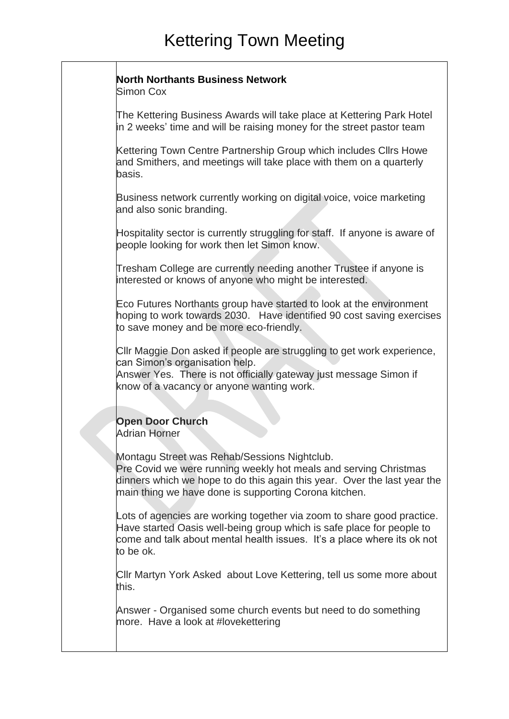#### **North Northants Business Network**

Simon Cox

The Kettering Business Awards will take place at Kettering Park Hotel in 2 weeks' time and will be raising money for the street pastor team

Kettering Town Centre Partnership Group which includes Cllrs Howe and Smithers, and meetings will take place with them on a quarterly basis.

Business network currently working on digital voice, voice marketing and also sonic branding.

Hospitality sector is currently struggling for staff. If anyone is aware of people looking for work then let Simon know.

Tresham College are currently needing another Trustee if anyone is interested or knows of anyone who might be interested.

Eco Futures Northants group have started to look at the environment hoping to work towards 2030. Have identified 90 cost saving exercises to save money and be more eco-friendly.

Cllr Maggie Don asked if people are struggling to get work experience, can Simon's organisation help.

Answer Yes. There is not officially gateway just message Simon if know of a vacancy or anyone wanting work.

## **Open Door Church**

Adrian Horner

Montagu Street was Rehab/Sessions Nightclub.

Pre Covid we were running weekly hot meals and serving Christmas dinners which we hope to do this again this year. Over the last year the main thing we have done is supporting Corona kitchen.

Lots of agencies are working together via zoom to share good practice. Have started Oasis well-being group which is safe place for people to come and talk about mental health issues. It's a place where its ok not to be ok.

Cllr Martyn York Asked about Love Kettering, tell us some more about this.

Answer - Organised some church events but need to do something more. Have a look at #lovekettering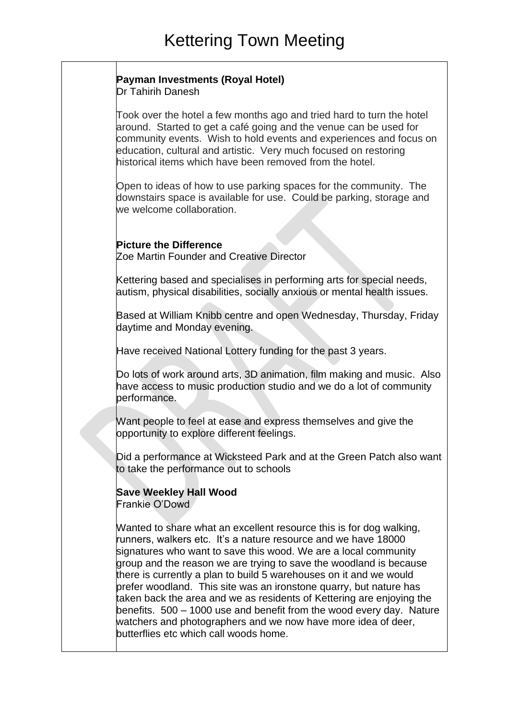### **Payman Investments (Royal Hotel)**

Dr Tahirih Danesh

Took over the hotel a few months ago and tried hard to turn the hotel around. Started to get a café going and the venue can be used for community events. Wish to hold events and experiences and focus on education, cultural and artistic. Very much focused on restoring historical items which have been removed from the hotel.

Open to ideas of how to use parking spaces for the community. The downstairs space is available for use. Could be parking, storage and we welcome collaboration.

### **Picture the Difference**

Zoe Martin Founder and Creative Director

Kettering based and specialises in performing arts for special needs, autism, physical disabilities, socially anxious or mental health issues.

Based at William Knibb centre and open Wednesday, Thursday, Friday daytime and Monday evening.

Have received National Lottery funding for the past 3 years.

Do lots of work around arts, 3D animation, film making and music. Also have access to music production studio and we do a lot of community performance.

Want people to feel at ease and express themselves and give the opportunity to explore different feelings.

Did a performance at Wicksteed Park and at the Green Patch also want to take the performance out to schools

## **Save Weekley Hall Wood**

Frankie O'Dowd

Wanted to share what an excellent resource this is for dog walking, runners, walkers etc. It's a nature resource and we have 18000 signatures who want to save this wood. We are a local community group and the reason we are trying to save the woodland is because there is currently a plan to build 5 warehouses on it and we would prefer woodland. This site was an ironstone quarry, but nature has taken back the area and we as residents of Kettering are enjoying the benefits. 500 – 1000 use and benefit from the wood every day. Nature watchers and photographers and we now have more idea of deer, butterflies etc which call woods home.